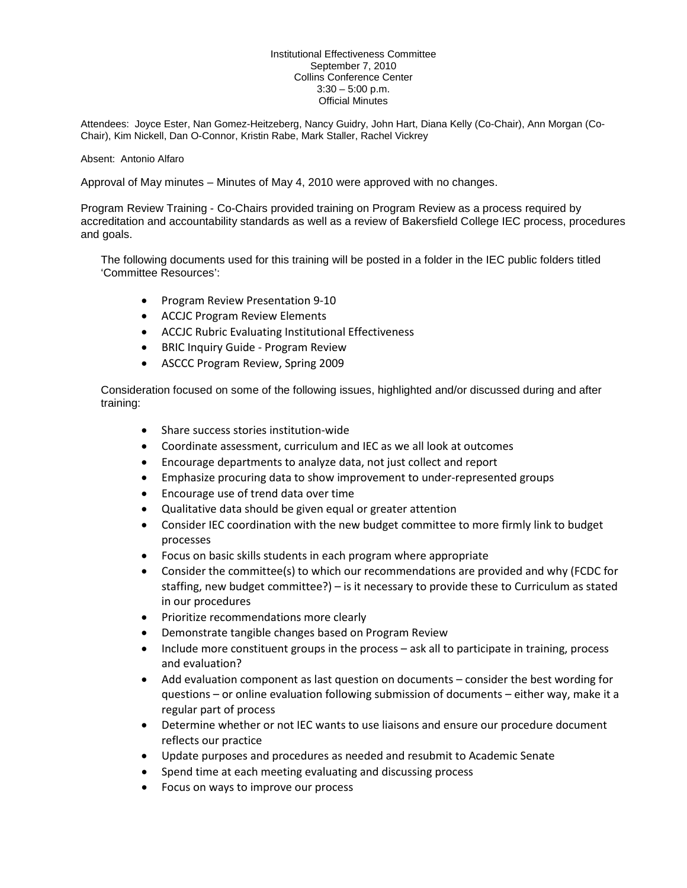## Institutional Effectiveness Committee September 7, 2010 Collins Conference Center  $3:30 - 5:00$  p.m. Official Minutes

Attendees: Joyce Ester, Nan Gomez-Heitzeberg, Nancy Guidry, John Hart, Diana Kelly (Co-Chair), Ann Morgan (Co-Chair), Kim Nickell, Dan O-Connor, Kristin Rabe, Mark Staller, Rachel Vickrey

## Absent: Antonio Alfaro

Approval of May minutes – Minutes of May 4, 2010 were approved with no changes.

Program Review Training - Co-Chairs provided training on Program Review as a process required by accreditation and accountability standards as well as a review of Bakersfield College IEC process, procedures and goals.

The following documents used for this training will be posted in a folder in the IEC public folders titled 'Committee Resources':

- Program Review Presentation 9-10
- ACCJC Program Review Elements
- ACCJC Rubric Evaluating Institutional Effectiveness
- BRIC Inquiry Guide Program Review
- ASCCC Program Review, Spring 2009

Consideration focused on some of the following issues, highlighted and/or discussed during and after training:

- Share success stories institution-wide
- Coordinate assessment, curriculum and IEC as we all look at outcomes
- Encourage departments to analyze data, not just collect and report
- Emphasize procuring data to show improvement to under-represented groups
- Encourage use of trend data over time
- Qualitative data should be given equal or greater attention
- Consider IEC coordination with the new budget committee to more firmly link to budget processes
- Focus on basic skills students in each program where appropriate
- Consider the committee(s) to which our recommendations are provided and why (FCDC for staffing, new budget committee?) – is it necessary to provide these to Curriculum as stated in our procedures
- Prioritize recommendations more clearly
- Demonstrate tangible changes based on Program Review
- Include more constituent groups in the process ask all to participate in training, process and evaluation?
- Add evaluation component as last question on documents consider the best wording for questions – or online evaluation following submission of documents – either way, make it a regular part of process
- Determine whether or not IEC wants to use liaisons and ensure our procedure document reflects our practice
- Update purposes and procedures as needed and resubmit to Academic Senate
- Spend time at each meeting evaluating and discussing process
- Focus on ways to improve our process